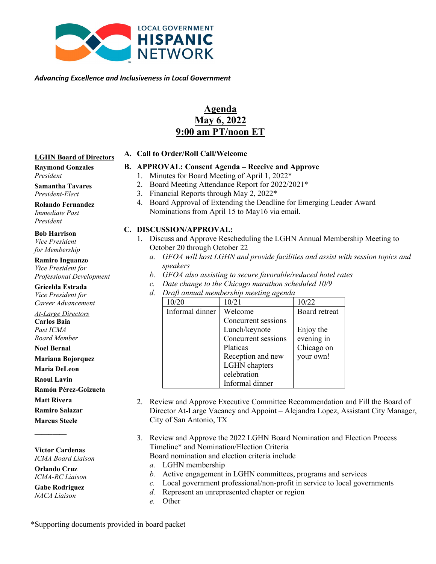

*Advancing Excellence and Inclusiveness in Local Government*

# **Agenda May 6, 2022 9:00 am PT/noon ET**

#### **LGHN Board of Directors**

### **B. APPROVAL: Consent Agenda – Receive and Approve**

- 1. Minutes for Board Meeting of April 1, 2022\*
- 2. Board Meeting Attendance Report for 2022/2021\*
- 3. Financial Reports through May 2, 2022\*
- 4. Board Approval of Extending the Deadline for Emerging Leader Award Nominations from April 15 to May16 via email.

#### **C. DISCUSSION/APPROVAL:**

**A. Call to Order/Roll Call/Welcome**

- 1. Discuss and Approve Rescheduling the LGHN Annual Membership Meeting to October 20 through October 22
	- *a. GFOA will host LGHN and provide facilities and assist with session topics and speakers*
	- *b. GFOA also assisting to secure favorable/reduced hotel rates*
	- *c. Date change to the Chicago marathon scheduled 10/9*
	- *d. Draft annual membership meeting agenda*

| 10/20           | 10/21               | 10/22         |
|-----------------|---------------------|---------------|
| Informal dinner | Welcome             | Board retreat |
|                 | Concurrent sessions |               |
|                 | Lunch/keynote       | Enjoy the     |
|                 | Concurrent sessions | evening in    |
|                 | Platicas            | Chicago on    |
|                 | Reception and new   | your own!     |
|                 | LGHN chapters       |               |
|                 | celebration         |               |
|                 | Informal dinner     |               |

- 2. Review and Approve Executive Committee Recommendation and Fill the Board of Director At-Large Vacancy and Appoint – Alejandra Lopez, Assistant City Manager, City of San Antonio, TX
- 3. Review and Approve the 2022 LGHN Board Nomination and Election Process Timeline\* and Nomination/Election Criteria
	- Board nomination and election criteria include
	- *a.* LGHN membership
	- *b.* Active engagement in LGHN committees, programs and services
	- *c.* Local government professional/non-profit in service to local governments
	- *d.* Represent an unrepresented chapter or region
	- *e.* Other

**Raymond Gonzales** *President*

**Samantha Tavares** *President-Elect*

**Rolando Fernandez**  *Immediate Past President*

#### **Bob Harrison** *Vice President*

*for Membership*

**Ramiro Inguanzo** *Vice President for Professional Development*

**Gricelda Estrada** *Vice President for Career Advancement*

*At-Large Directors* **Carlos Baia** *Past ICMA Board Member*

**Noel Bernal**

#### **Mariana Bojorquez**

**Maria DeLeon** 

**Raoul Lavin**

**Ramón Pérez-Goizueta**

**Matt Rivera**

**Ramiro Salazar**

**Marcus Steele**

 $\mathcal{L}$ 

**Victor Cardenas** *ICMA Board Liaison*

**Orlando Cruz** *ICMA-RC Liaison*

**Gabe Rodriguez** *NACA Liaison*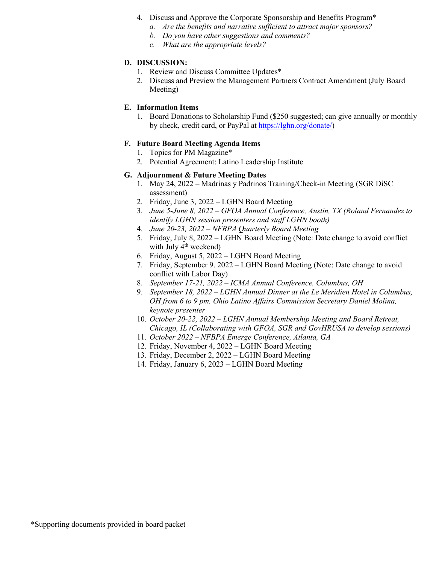- 4. Discuss and Approve the Corporate Sponsorship and Benefits Program\*
	- *a. Are the benefits and narrative sufficient to attract major sponsors?*
	- *b. Do you have other suggestions and comments?*
	- *c. What are the appropriate levels?*

#### **D. DISCUSSION:**

- 1. Review and Discuss Committee Updates\*
- 2. Discuss and Preview the Management Partners Contract Amendment (July Board Meeting)

#### **E. Information Items**

1. Board Donations to Scholarship Fund (\$250 suggested; can give annually or monthly by check, credit card, or PayPal at [https://lghn.org/donate/\)](https://lghn.org/donate/)

#### **F. Future Board Meeting Agenda Items**

- 1. Topics for PM Magazine\*
- 2. Potential Agreement: Latino Leadership Institute

#### **G. Adjournment & Future Meeting Dates**

- 1. May 24, 2022 Madrinas y Padrinos Training/Check-in Meeting (SGR DiSC assessment)
- 2. Friday, June 3, 2022 LGHN Board Meeting
- 3. *June 5-June 8, 2022 GFOA Annual Conference, Austin, TX (Roland Fernandez to identify LGHN session presenters and staff LGHN booth)*
- 4. *June 20-23, 2022 NFBPA Quarterly Board Meeting*
- 5. Friday, July 8, 2022 LGHN Board Meeting (Note: Date change to avoid conflict with July  $4<sup>th</sup>$  weekend)
- 6. Friday, August 5, 2022 LGHN Board Meeting
- 7. Friday, September 9. 2022 LGHN Board Meeting (Note: Date change to avoid conflict with Labor Day)
- 8. *September 17-21, 2022 ICMA Annual Conference, Columbus, OH*
- 9. *September 18, 2022 LGHN Annual Dinner at the Le Meridien Hotel in Columbus, OH from 6 to 9 pm, Ohio Latino Affairs Commission Secretary Daniel Molina, keynote presenter*
- 10. *October 20-22, 2022 LGHN Annual Membership Meeting and Board Retreat, Chicago, IL (Collaborating with GFOA, SGR and GovHRUSA to develop sessions)*
- 11. *October 2022 NFBPA Emerge Conference, Atlanta, GA*
- 12. Friday, November 4, 2022 LGHN Board Meeting
- 13. Friday, December 2, 2022 LGHN Board Meeting
- 14. Friday, January 6, 2023 LGHN Board Meeting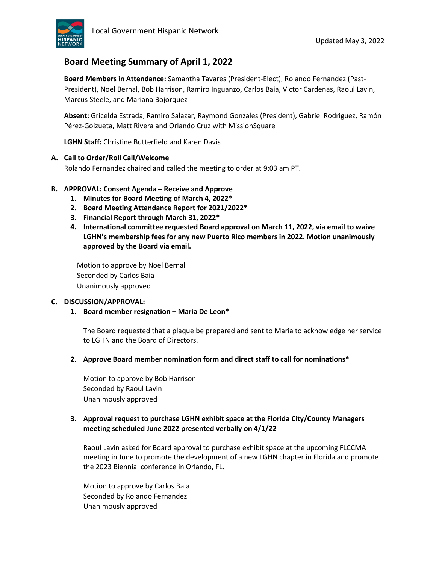

# **Board Meeting Summary of April 1, 2022**

**Board Members in Attendance:** Samantha Tavares (President-Elect), Rolando Fernandez (Past-President), Noel Bernal, Bob Harrison, Ramiro Inguanzo, Carlos Baia, Victor Cardenas, Raoul Lavin, Marcus Steele, and Mariana Bojorquez

**Absent:** Gricelda Estrada, Ramiro Salazar, Raymond Gonzales (President), Gabriel Rodriguez, Ramón Pérez-Goizueta, Matt Rivera and Orlando Cruz with MissionSquare

**LGHN Staff:** Christine Butterfield and Karen Davis

#### **A. Call to Order/Roll Call/Welcome**

Rolando Fernandez chaired and called the meeting to order at 9:03 am PT.

#### **B. APPROVAL: Consent Agenda – Receive and Approve**

- **1. Minutes for Board Meeting of March 4, 2022\***
- **2. Board Meeting Attendance Report for 2021/2022\***
- **3. Financial Report through March 31, 2022\***
- **4. International committee requested Board approval on March 11, 2022, via email to waive LGHN's membership fees for any new Puerto Rico members in 2022. Motion unanimously approved by the Board via email.**

Motion to approve by Noel Bernal Seconded by Carlos Baia Unanimously approved

#### **C. DISCUSSION/APPROVAL:**

**1. Board member resignation – Maria De Leon\***

The Board requested that a plaque be prepared and sent to Maria to acknowledge her service to LGHN and the Board of Directors.

**2. Approve Board member nomination form and direct staff to call for nominations\***

Motion to approve by Bob Harrison Seconded by Raoul Lavin Unanimously approved

#### **3. Approval request to purchase LGHN exhibit space at the Florida City/County Managers meeting scheduled June 2022 presented verbally on 4/1/22**

Raoul Lavin asked for Board approval to purchase exhibit space at the upcoming FLCCMA meeting in June to promote the development of a new LGHN chapter in Florida and promote the 2023 Biennial conference in Orlando, FL.

Motion to approve by Carlos Baia Seconded by Rolando Fernandez Unanimously approved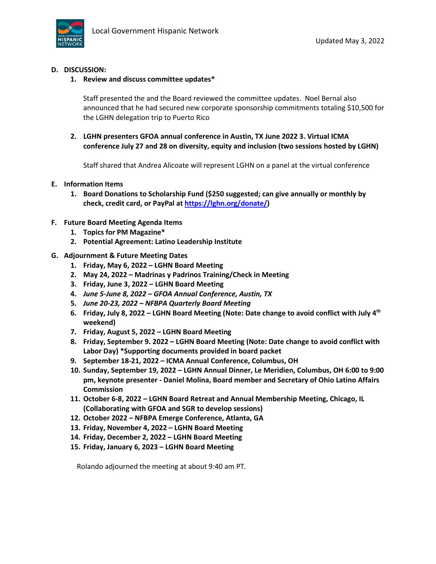

#### **D. DISCUSSION:**

#### **1. Review and discuss committee updates\***

Staff presented the and the Board reviewed the committee updates. Noel Bernal also announced that he had secured new corporate sponsorship commitments totaling \$10,500 for the LGHN delegation trip to Puerto Rico

**2. LGHN presenters GFOA annual conference in Austin, TX June 2022 3. Virtual ICMA conference July 27 and 28 on diversity, equity and inclusion (two sessions hosted by LGHN)**

Staff shared that Andrea Alicoate will represent LGHN on a panel at the virtual conference

#### **E. Information Items**

**1. Board Donations to Scholarship Fund (\$250 suggested; can give annually or monthly by check, credit card, or PayPal at [https://lghn.org/donate/\)](https://lghn.org/donate/)**

#### **F. Future Board Meeting Agenda Items**

- **1. Topics for PM Magazine\***
- **2. Potential Agreement: Latino Leadership Institute**
- **G. Adjournment & Future Meeting Dates** 
	- **1. Friday, May 6, 2022 – LGHN Board Meeting**
	- **2. May 24, 2022 – Madrinas y Padrinos Training/Check in Meeting**
	- **3. Friday, June 3, 2022 – LGHN Board Meeting**
	- **4.** *June 5-June 8, 2022 – GFOA Annual Conference, Austin, TX*
	- **5.** *June 20-23, 2022 – NFBPA Quarterly Board Meeting*
	- **6. Friday, July 8, 2022 – LGHN Board Meeting (Note: Date change to avoid conflict with July 4th weekend)**
	- **7. Friday, August 5, 2022 – LGHN Board Meeting**
	- **8. Friday, September 9. 2022 – LGHN Board Meeting (Note: Date change to avoid conflict with Labor Day) \*Supporting documents provided in board packet**
	- **9. September 18-21, 2022 – ICMA Annual Conference, Columbus, OH**
	- **10. Sunday, September 19, 2022 – LGHN Annual Dinner, Le Meridien, Columbus, OH 6:00 to 9:00 pm, keynote presenter - Daniel Molina, Board member and Secretary of Ohio Latino Affairs Commission**
	- **11. October 6-8, 2022 – LGHN Board Retreat and Annual Membership Meeting, Chicago, IL (Collaborating with GFOA and SGR to develop sessions)**
	- **12. October 2022 – NFBPA Emerge Conference, Atlanta, GA**
	- **13. Friday, November 4, 2022 – LGHN Board Meeting**
	- **14. Friday, December 2, 2022 – LGHN Board Meeting**
	- **15. Friday, January 6, 2023 – LGHN Board Meeting**

Rolando adjourned the meeting at about 9:40 am PT.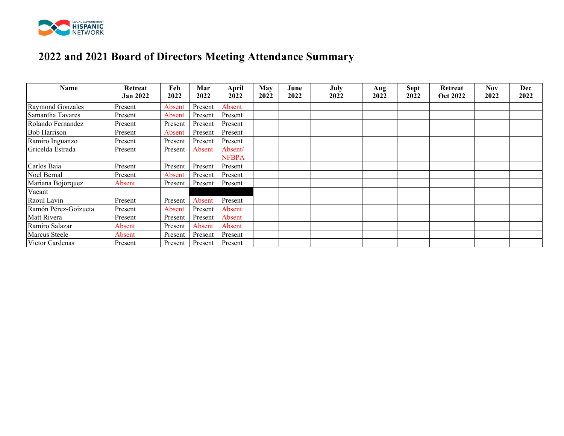

# **2022 and 2021 Board of Directors Meeting Attendance Summary**

| Name                 | Retreat<br><b>Jan 2022</b> | Feb<br>2022 | Mar<br>2022 | <b>April</b><br>2022    | May<br>2022 | June<br>2022 | July<br>2022 | Aug<br>2022 | <b>Sept</b><br>2022 | Retreat<br><b>Oct 2022</b> | Nov<br>2022 | Dec<br>2022 |
|----------------------|----------------------------|-------------|-------------|-------------------------|-------------|--------------|--------------|-------------|---------------------|----------------------------|-------------|-------------|
| Raymond Gonzales     | Present                    | Absent      | Present     | Absent                  |             |              |              |             |                     |                            |             |             |
| Samantha Tavares     | Present                    | Absent      | Present     | Present                 |             |              |              |             |                     |                            |             |             |
| Rolando Fernandez    | Present                    | Present     | Present     | Present                 |             |              |              |             |                     |                            |             |             |
| Bob Harrison         | Present                    | Absent      | Present     | Present                 |             |              |              |             |                     |                            |             |             |
| Ramiro Inguanzo      | Present                    | Present     | Present     | Present                 |             |              |              |             |                     |                            |             |             |
| Gricelda Estrada     | Present                    | Present     | Absent      | Absent/<br><b>NFBPA</b> |             |              |              |             |                     |                            |             |             |
| Carlos Baia          | Present                    | Present     | Present     | Present                 |             |              |              |             |                     |                            |             |             |
| Noel Bernal          | Present                    | Absent      | Present     | Present                 |             |              |              |             |                     |                            |             |             |
| Mariana Bojorquez    | Absent                     | Present     | Present     | Present                 |             |              |              |             |                     |                            |             |             |
| Vacant               |                            |             |             |                         |             |              |              |             |                     |                            |             |             |
| Raoul Lavin          | Present                    | Present     | Absent      | Present                 |             |              |              |             |                     |                            |             |             |
| Ramón Pérez-Goizueta | Present                    | Absent      | Present     | Absent                  |             |              |              |             |                     |                            |             |             |
| Matt Rivera          | Present                    | Present     | Present     | Absent                  |             |              |              |             |                     |                            |             |             |
| Ramiro Salazar       | Absent                     | Present     | Absent      | Absent                  |             |              |              |             |                     |                            |             |             |
| Marcus Steele        | Absent                     | Present     | Present     | Present                 |             |              |              |             |                     |                            |             |             |
| Victor Cardenas      | Present                    | Present     | Present     | Present                 |             |              |              |             |                     |                            |             |             |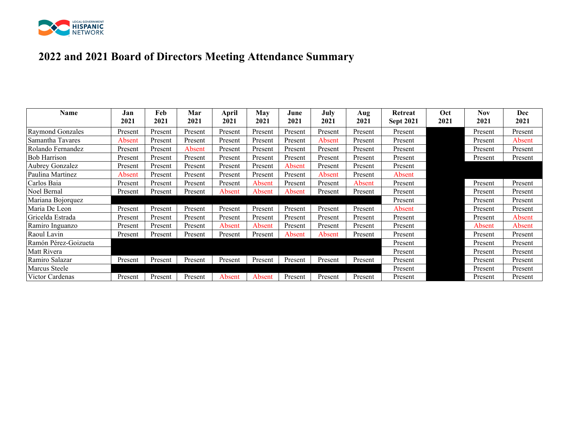

# **2022 and 2021 Board of Directors Meeting Attendance Summary**

| Name                 | Jan<br>2021 | Feb<br>2021 | Mar<br>2021 | April<br>2021 | May<br>2021 | June<br>2021 | July<br>2021 | Aug<br>2021 | Retreat<br><b>Sept 2021</b> | Oct<br>2021 | Nov<br>2021 | <b>Dec</b><br>2021 |
|----------------------|-------------|-------------|-------------|---------------|-------------|--------------|--------------|-------------|-----------------------------|-------------|-------------|--------------------|
| Raymond Gonzales     | Present     | Present     | Present     | Present       | Present     | Present      | Present      | Present     | Present                     |             | Present     | Present            |
| Samantha Tavares     | Absent      | Present     | Present     | Present       | Present     | Present      | Absent       | Present     | Present                     |             | Present     | Absent             |
| Rolando Fernandez    | Present     | Present     | Absent      | Present       | Present     | Present      | Present      | Present     | Present                     |             | Present     | Present            |
| Bob Harrison         | Present     | Present     | Present     | Present       | Present     | Present      | Present      | Present     | Present                     |             | Present     | Present            |
| Aubrey Gonzalez      | Present     | Present     | Present     | Present       | Present     | Absent       | Present      | Present     | Present                     |             |             |                    |
| Paulina Martinez     | Absent      | Present     | Present     | Present       | Present     | Present      | Absent       | Present     | Absent                      |             |             |                    |
| Carlos Baia          | Present     | Present     | Present     | Present       | Absent      | Present      | Present      | Absent      | Present                     |             | Present     | Present            |
| Noel Bernal          | Present     | Present     | Present     | Absent        | Absent      | Absent       | Present      | Present     | Present                     |             | Present     | Present            |
| Mariana Bojorquez    |             |             |             |               |             |              |              |             | Present                     |             | Present     | Present            |
| Maria De Leon        | Present     | Present     | Present     | Present       | Present     | Present      | Present      | Present     | Absent                      |             | Present     | Present            |
| Gricelda Estrada     | Present     | Present     | Present     | Present       | Present     | Present      | Present      | Present     | Present                     |             | Present     | Absent             |
| Ramiro Inguanzo      | Present     | Present     | Present     | Absent        | Absent      | Present      | Present      | Present     | Present                     |             | Absent      | Absent             |
| Raoul Lavin          | Present     | Present     | Present     | Present       | Present     | Absent       | Absent       | Present     | Present                     |             | Present     | Present            |
| Ramón Pérez-Goizueta |             |             |             |               |             |              |              |             | Present                     |             | Present     | Present            |
| Matt Rivera          |             |             |             |               |             |              |              |             | Present                     |             | Present     | Present            |
| Ramiro Salazar       | Present     | Present     | Present     | Present       | Present     | Present      | Present      | Present     | Present                     |             | Present     | Present            |
| Marcus Steele        |             |             |             |               |             |              |              |             | Present                     |             | Present     | Present            |
| Victor Cardenas      | Present     | Present     | Present     | Absent        | Absent      | Present      | Present      | Present     | Present                     |             | Present     | Present            |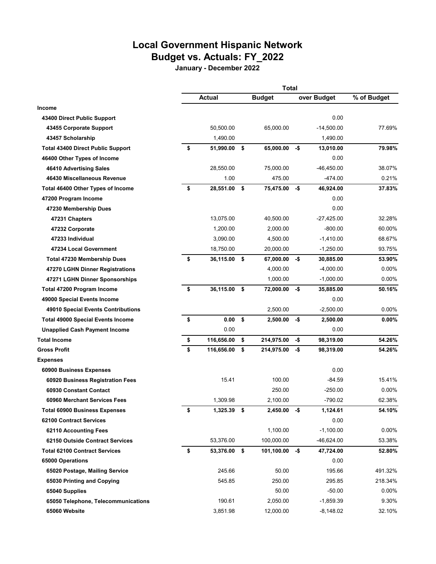# **Local Government Hispanic Network Budget vs. Actuals: FY\_2022**

**January - December 2022**

|                                          | Total               |    |               |        |              |             |
|------------------------------------------|---------------------|----|---------------|--------|--------------|-------------|
|                                          | <b>Actual</b>       |    | <b>Budget</b> |        | over Budget  | % of Budget |
| <b>Income</b>                            |                     |    |               |        |              |             |
| 43400 Direct Public Support              |                     |    |               |        | 0.00         |             |
| 43455 Corporate Support                  | 50,500.00           |    | 65.000.00     |        | $-14,500.00$ | 77.69%      |
| 43457 Scholarship                        | 1,490.00            |    |               |        | 1,490.00     |             |
| <b>Total 43400 Direct Public Support</b> | \$<br>51,990.00     | \$ | 65,000.00     | $-$ \$ | 13,010.00    | 79.98%      |
| 46400 Other Types of Income              |                     |    |               |        | 0.00         |             |
| 46410 Advertising Sales                  | 28,550.00           |    | 75,000.00     |        | $-46,450.00$ | 38.07%      |
| 46430 Miscellaneous Revenue              | 1.00                |    | 475.00        |        | $-474.00$    | 0.21%       |
| Total 46400 Other Types of Income        | \$<br>28,551.00     | \$ | 75,475.00     | -\$    | 46,924.00    | 37.83%      |
| 47200 Program Income                     |                     |    |               |        | 0.00         |             |
| 47230 Membership Dues                    |                     |    |               |        | 0.00         |             |
| 47231 Chapters                           | 13,075.00           |    | 40,500.00     |        | $-27,425.00$ | 32.28%      |
| 47232 Corporate                          | 1,200.00            |    | 2,000.00      |        | $-800.00$    | 60.00%      |
| 47233 Individual                         | 3,090.00            |    | 4,500.00      |        | $-1,410.00$  | 68.67%      |
| 47234 Local Government                   | 18,750.00           |    | 20,000.00     |        | $-1,250.00$  | 93.75%      |
| <b>Total 47230 Membership Dues</b>       | \$<br>36,115.00     | \$ | 67,000.00     | -\$    | 30,885.00    | 53.90%      |
| 47270 LGHN Dinner Registrations          |                     |    | 4,000.00      |        | $-4,000.00$  | $0.00\%$    |
| 47271 LGHN Dinner Sponsorships           |                     |    | 1,000.00      |        | $-1,000.00$  | $0.00\%$    |
| Total 47200 Program Income               | \$<br>36,115.00     | \$ | 72,000.00     | -\$    | 35,885.00    | 50.16%      |
| 49000 Special Events Income              |                     |    |               |        | 0.00         |             |
| 49010 Special Events Contributions       |                     |    | 2,500.00      |        | $-2,500.00$  | $0.00\%$    |
| <b>Total 49000 Special Events Income</b> | \$<br>0.00          | \$ | 2,500.00      | -\$    | 2,500.00     | $0.00\%$    |
| <b>Unapplied Cash Payment Income</b>     | 0.00                |    |               |        | 0.00         |             |
| <b>Total Income</b>                      | \$<br>116,656.00    | \$ | 214,975.00    | -\$    | 98,319.00    | 54.26%      |
| <b>Gross Profit</b>                      | \$<br>116,656.00    | \$ | 214,975.00    | -\$    | 98,319.00    | 54.26%      |
| <b>Expenses</b>                          |                     |    |               |        |              |             |
| 60900 Business Expenses                  |                     |    |               |        | 0.00         |             |
| 60920 Business Registration Fees         | 15.41               |    | 100.00        |        | $-84.59$     | 15.41%      |
| 60930 Constant Contact                   |                     |    | 250.00        |        | $-250.00$    | $0.00\%$    |
| 60960 Merchant Services Fees             | 1,309.98            |    | 2,100.00      |        | $-790.02$    | 62.38%      |
| <b>Total 60900 Business Expenses</b>     | \$<br>$1,325.39$ \$ |    | 2,450.00      | -\$    | 1,124.61     | 54.10%      |
| 62100 Contract Services                  |                     |    |               |        | 0.00         |             |
| 62110 Accounting Fees                    |                     |    | 1,100.00      |        | $-1,100.00$  | $0.00\%$    |
| 62150 Outside Contract Services          | 53,376.00           |    | 100,000.00    |        | -46,624.00   | 53.38%      |
| <b>Total 62100 Contract Services</b>     | \$<br>53,376.00 \$  |    | 101,100.00    | -\$    | 47,724.00    | 52.80%      |
| 65000 Operations                         |                     |    |               |        | 0.00         |             |
| 65020 Postage, Mailing Service           | 245.66              |    | 50.00         |        | 195.66       | 491.32%     |
| 65030 Printing and Copying               | 545.85              |    | 250.00        |        | 295.85       | 218.34%     |
| 65040 Supplies                           |                     |    | 50.00         |        | $-50.00$     | $0.00\%$    |
| 65050 Telephone, Telecommunications      | 190.61              |    | 2,050.00      |        | $-1,859.39$  | 9.30%       |
| 65060 Website                            | 3,851.98            |    | 12,000.00     |        | $-8,148.02$  | 32.10%      |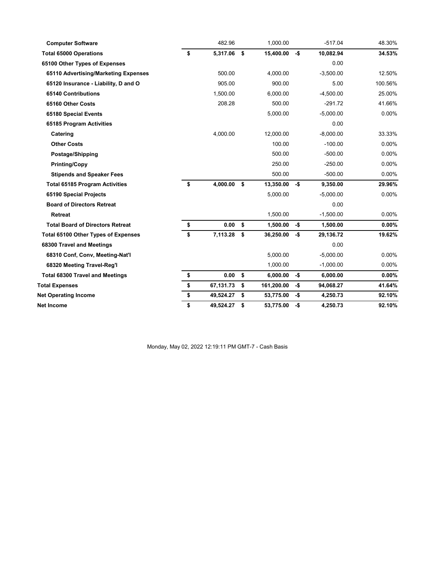| <b>Computer Software</b>                   | 482.96          |     | 1,000.00   |     | $-517.04$   | 48.30%   |
|--------------------------------------------|-----------------|-----|------------|-----|-------------|----------|
| <b>Total 65000 Operations</b>              | \$<br>5,317.06  | \$  | 15,400.00  | -\$ | 10,082.94   | 34.53%   |
| 65100 Other Types of Expenses              |                 |     |            |     | 0.00        |          |
| 65110 Advertising/Marketing Expenses       | 500.00          |     | 4,000.00   |     | $-3,500.00$ | 12.50%   |
| 65120 Insurance - Liability, D and O       | 905.00          |     | 900.00     |     | 5.00        | 100.56%  |
| <b>65140 Contributions</b>                 | 1,500.00        |     | 6,000.00   |     | $-4,500.00$ | 25.00%   |
| 65160 Other Costs                          | 208.28          |     | 500.00     |     | $-291.72$   | 41.66%   |
| 65180 Special Events                       |                 |     | 5,000.00   |     | $-5.000.00$ | $0.00\%$ |
| 65185 Program Activities                   |                 |     |            |     | 0.00        |          |
| Catering                                   | 4,000.00        |     | 12,000.00  |     | $-8,000.00$ | 33.33%   |
| <b>Other Costs</b>                         |                 |     | 100.00     |     | $-100.00$   | 0.00%    |
| Postage/Shipping                           |                 |     | 500.00     |     | $-500.00$   | 0.00%    |
| <b>Printing/Copy</b>                       |                 |     | 250.00     |     | $-250.00$   | $0.00\%$ |
| <b>Stipends and Speaker Fees</b>           |                 |     | 500.00     |     | $-500.00$   | 0.00%    |
| <b>Total 65185 Program Activities</b>      | \$<br>4,000.00  | \$  | 13,350.00  | -\$ | 9,350.00    | 29.96%   |
| 65190 Special Projects                     |                 |     | 5,000.00   |     | $-5,000.00$ | 0.00%    |
| <b>Board of Directors Retreat</b>          |                 |     |            |     | 0.00        |          |
| <b>Retreat</b>                             |                 |     | 1,500.00   |     | $-1,500.00$ | $0.00\%$ |
| <b>Total Board of Directors Retreat</b>    | \$<br>0.00      | \$  | 1,500.00   | -\$ | 1,500.00    | $0.00\%$ |
| <b>Total 65100 Other Types of Expenses</b> | \$<br>7,113.28  | \$  | 36,250.00  | -\$ | 29,136.72   | 19.62%   |
| 68300 Travel and Meetings                  |                 |     |            |     | 0.00        |          |
| 68310 Conf, Conv, Meeting-Nat'l            |                 |     | 5,000.00   |     | $-5,000.00$ | $0.00\%$ |
| 68320 Meeting Travel-Reg'l                 |                 |     | 1,000.00   |     | $-1,000.00$ | $0.00\%$ |
| <b>Total 68300 Travel and Meetings</b>     | \$<br>0.00      | \$  | 6,000.00   | -\$ | 6,000.00    | $0.00\%$ |
| <b>Total Expenses</b>                      | \$<br>67,131.73 | \$  | 161,200.00 | -\$ | 94,068.27   | 41.64%   |
| <b>Net Operating Income</b>                | \$<br>49,524.27 | -\$ | 53,775.00  | -\$ | 4,250.73    | 92.10%   |
| Net Income                                 | \$<br>49,524.27 | \$  | 53,775.00  | -\$ | 4,250.73    | 92.10%   |

Monday, May 02, 2022 12:19:11 PM GMT-7 - Cash Basis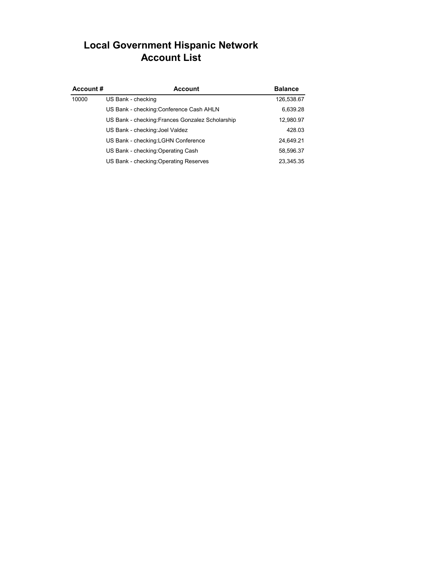# **Local Government Hispanic Network Account List**

| Account# | <b>Account</b>                                   | <b>Balance</b> |
|----------|--------------------------------------------------|----------------|
| 10000    | US Bank - checking                               | 126,538.67     |
|          | US Bank - checking: Conference Cash AHLN         | 6,639.28       |
|          | US Bank - checking: Frances Gonzalez Scholarship | 12,980.97      |
|          | US Bank - checking: Joel Valdez                  | 428.03         |
|          | US Bank - checking: LGHN Conference              | 24,649.21      |
|          | US Bank - checking: Operating Cash               | 58,596.37      |
|          | US Bank - checking: Operating Reserves           | 23.345.35      |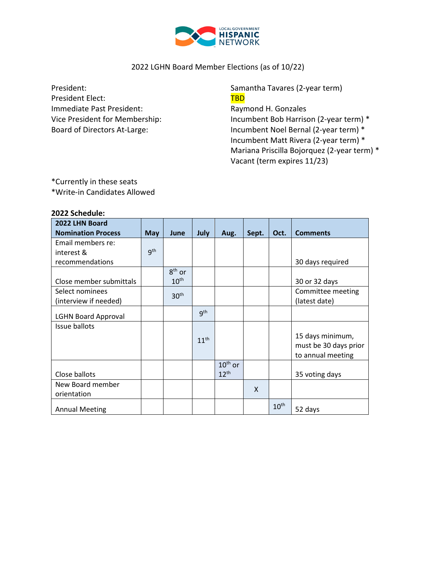

## 2022 LGHN Board Member Elections (as of 10/22)

President: The Samantha Tavares (2-year term) President Elect: TBD Immediate Past President: Raymond H. Gonzales

Vice President for Membership: Incumbent Bob Harrison (2-year term) \* Board of Directors At-Large: Incumbent Noel Bernal (2-year term) \* Incumbent Matt Rivera (2-year term) \* Mariana Priscilla Bojorquez (2-year term) \* Vacant (term expires 11/23)

\*Currently in these seats \*Write-in Candidates Allowed

| 2022 Schedule:             |                 |                  |                  |                  |                           |                  |                       |
|----------------------------|-----------------|------------------|------------------|------------------|---------------------------|------------------|-----------------------|
| 2022 LHN Board             |                 |                  |                  |                  |                           |                  |                       |
| <b>Nomination Process</b>  | May             | June             | July             | Aug.             | Sept.                     | Oct.             | <b>Comments</b>       |
| Email members re:          |                 |                  |                  |                  |                           |                  |                       |
| interest &                 | 9 <sup>th</sup> |                  |                  |                  |                           |                  |                       |
| recommendations            |                 |                  |                  |                  |                           |                  | 30 days required      |
|                            |                 | $8th$ or         |                  |                  |                           |                  |                       |
| Close member submittals    |                 | 10 <sup>th</sup> |                  |                  |                           |                  | 30 or 32 days         |
| Select nominees            |                 | 30 <sup>th</sup> |                  |                  |                           |                  | Committee meeting     |
| (interview if needed)      |                 |                  |                  |                  |                           |                  | (latest date)         |
| <b>LGHN Board Approval</b> |                 |                  | gth              |                  |                           |                  |                       |
| Issue ballots              |                 |                  |                  |                  |                           |                  |                       |
|                            |                 |                  | 11 <sup>th</sup> |                  |                           |                  | 15 days minimum,      |
|                            |                 |                  |                  |                  |                           |                  | must be 30 days prior |
|                            |                 |                  |                  |                  |                           |                  | to annual meeting     |
|                            |                 |                  |                  | $10th$ or        |                           |                  |                       |
| Close ballots              |                 |                  |                  | 12 <sup>th</sup> |                           |                  | 35 voting days        |
| New Board member           |                 |                  |                  |                  | $\boldsymbol{\mathsf{X}}$ |                  |                       |
| orientation                |                 |                  |                  |                  |                           |                  |                       |
| <b>Annual Meeting</b>      |                 |                  |                  |                  |                           | 10 <sup>th</sup> | 52 days               |
|                            |                 |                  |                  |                  |                           |                  |                       |

## **2022 Schedule:**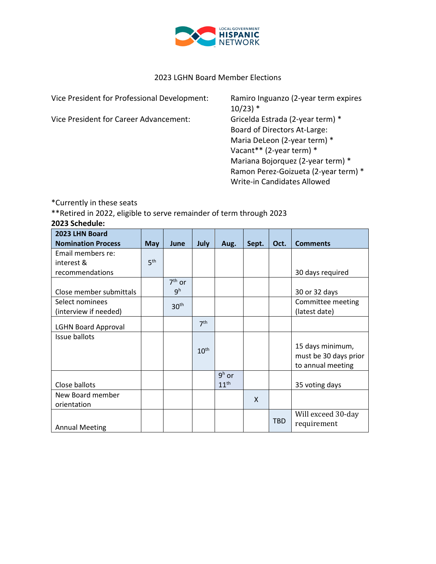

#### 2023 LGHN Board Member Elections

Vice President for Professional Development: Ramiro Inguanzo (2-year term expires

Vice President for Career Advancement: Gricelda Estrada (2-year term) \*

 $10/23$ ) \* Board of Directors At-Large: Maria DeLeon (2-year term) \* Vacant\*\* (2-year term) \* Mariana Bojorquez (2-year term) \* Ramon Perez-Goizueta (2-year term) \* Write-in Candidates Allowed

\*Currently in these seats

\*\*Retired in 2022, eligible to serve remainder of term through 2023

| 2023 LHN Board             |                 |                  |                  |                  |       |            |                       |
|----------------------------|-----------------|------------------|------------------|------------------|-------|------------|-----------------------|
| <b>Nomination Process</b>  | <b>May</b>      | June             | July             | Aug.             | Sept. | Oct.       | <b>Comments</b>       |
| Email members re:          |                 |                  |                  |                  |       |            |                       |
| interest &                 | 5 <sup>th</sup> |                  |                  |                  |       |            |                       |
| recommendations            |                 |                  |                  |                  |       |            | 30 days required      |
|                            |                 | $7th$ or         |                  |                  |       |            |                       |
| Close member submittals    |                 | 9 <sup>h</sup>   |                  |                  |       |            | 30 or 32 days         |
| Select nominees            |                 | 30 <sup>th</sup> |                  |                  |       |            | Committee meeting     |
| (interview if needed)      |                 |                  |                  |                  |       |            | (latest date)         |
| <b>LGHN Board Approval</b> |                 |                  | 7 <sup>th</sup>  |                  |       |            |                       |
| Issue ballots              |                 |                  |                  |                  |       |            |                       |
|                            |                 |                  | 10 <sup>th</sup> |                  |       |            | 15 days minimum,      |
|                            |                 |                  |                  |                  |       |            | must be 30 days prior |
|                            |                 |                  |                  |                  |       |            | to annual meeting     |
|                            |                 |                  |                  | $9h$ or          |       |            |                       |
| Close ballots              |                 |                  |                  | 11 <sup>th</sup> |       |            | 35 voting days        |
| New Board member           |                 |                  |                  |                  | X     |            |                       |
| orientation                |                 |                  |                  |                  |       |            |                       |
|                            |                 |                  |                  |                  |       |            | Will exceed 30-day    |
| <b>Annual Meeting</b>      |                 |                  |                  |                  |       | <b>TBD</b> | requirement           |

# **2023 Schedule:**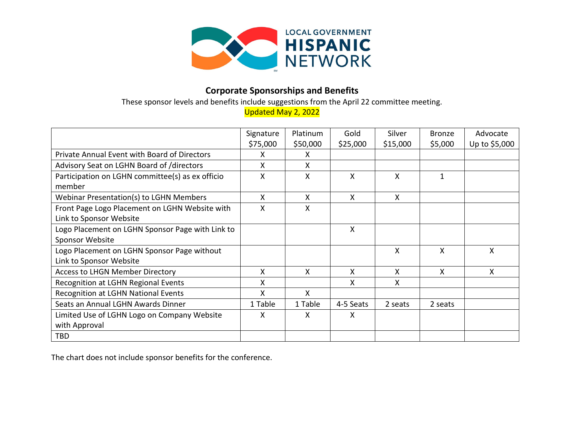

# **Corporate Sponsorships and Benefits**

These sponsor levels and benefits include suggestions from the April 22 committee meeting.

Updated May 2, 2022

|                                                  | Signature<br>\$75,000 | Platinum<br>\$50,000 | Gold<br>\$25,000 | Silver<br>\$15,000 | <b>Bronze</b><br>\$5,000 | Advocate<br>Up to \$5,000 |
|--------------------------------------------------|-----------------------|----------------------|------------------|--------------------|--------------------------|---------------------------|
| Private Annual Event with Board of Directors     | x                     | X                    |                  |                    |                          |                           |
| Advisory Seat on LGHN Board of /directors        | x                     | X                    |                  |                    |                          |                           |
| Participation on LGHN committee(s) as ex officio | X                     | X                    | X                | X                  | 1                        |                           |
| member                                           |                       |                      |                  |                    |                          |                           |
| Webinar Presentation(s) to LGHN Members          | X.                    | X                    | X                | X                  |                          |                           |
| Front Page Logo Placement on LGHN Website with   | X                     | X                    |                  |                    |                          |                           |
| Link to Sponsor Website                          |                       |                      |                  |                    |                          |                           |
| Logo Placement on LGHN Sponsor Page with Link to |                       |                      | X                |                    |                          |                           |
| Sponsor Website                                  |                       |                      |                  |                    |                          |                           |
| Logo Placement on LGHN Sponsor Page without      |                       |                      |                  | X                  | X                        | X                         |
| Link to Sponsor Website                          |                       |                      |                  |                    |                          |                           |
| <b>Access to LHGN Member Directory</b>           | X                     | $\mathsf{X}$         | X                | X                  | X                        | X                         |
| Recognition at LGHN Regional Events              | X.                    |                      | X.               | X                  |                          |                           |
| <b>Recognition at LGHN National Events</b>       | X                     | X                    |                  |                    |                          |                           |
| Seats an Annual LGHN Awards Dinner               | 1 Table               | 1 Table              | 4-5 Seats        | 2 seats            | 2 seats                  |                           |
| Limited Use of LGHN Logo on Company Website      | x                     | X                    | X                |                    |                          |                           |
| with Approval                                    |                       |                      |                  |                    |                          |                           |
| <b>TBD</b>                                       |                       |                      |                  |                    |                          |                           |

The chart does not include sponsor benefits for the conference.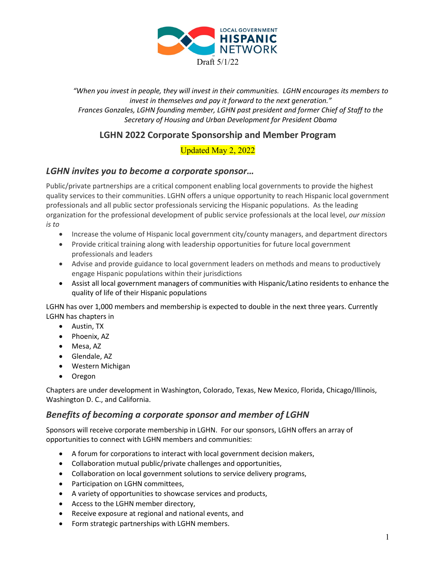

*"When you invest in people, they will invest in their communities. LGHN encourages its members to invest in themselves and pay it forward to the next generation." Frances Gonzales, LGHN founding member, LGHN past president and former Chief of Staff to the Secretary of Housing and Urban Development for President Obama*

# **LGHN 2022 Corporate Sponsorship and Member Program**

# Updated May 2, 2022

## *LGHN invites you to become a corporate sponsor…*

Public/private partnerships are a critical component enabling local governments to provide the highest quality services to their communities. LGHN offers a unique opportunity to reach Hispanic local government professionals and all public sector professionals servicing the Hispanic populations. As the leading organization for the professional development of public service professionals at the local level, *our mission is to*

- Increase the volume of Hispanic local government city/county managers, and department directors
- Provide critical training along with leadership opportunities for future local government professionals and leaders
- Advise and provide guidance to local government leaders on methods and means to productively engage Hispanic populations within their jurisdictions
- Assist all local government managers of communities with Hispanic/Latino residents to enhance the quality of life of their Hispanic populations

LGHN has over 1,000 members and membership is expected to double in the next three years. Currently LGHN has chapters in

- Austin, TX
- Phoenix, AZ
- Mesa, AZ
- Glendale, AZ
- Western Michigan
- Oregon

Chapters are under development in Washington, Colorado, Texas, New Mexico, Florida, Chicago/Illinois, Washington D. C., and California.

## *Benefits of becoming a corporate sponsor and member of LGHN*

Sponsors will receive corporate membership in LGHN. For our sponsors, LGHN offers an array of opportunities to connect with LGHN members and communities:

- A forum for corporations to interact with local government decision makers,
- Collaboration mutual public/private challenges and opportunities,
- Collaboration on local government solutions to service delivery programs,
- Participation on LGHN committees,
- A variety of opportunities to showcase services and products,
- Access to the LGHN member directory,
- Receive exposure at regional and national events, and
- Form strategic partnerships with LGHN members.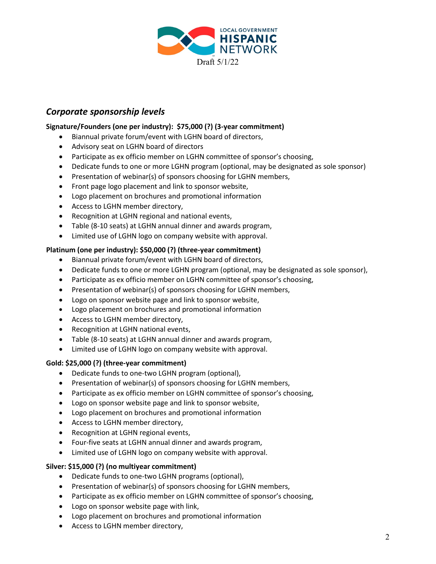

## *Corporate sponsorship levels*

### **Signature/Founders (one per industry): \$75,000 (?) (3-year commitment)**

- Biannual private forum/event with LGHN board of directors,
- Advisory seat on LGHN board of directors
- Participate as ex officio member on LGHN committee of sponsor's choosing,
- Dedicate funds to one or more LGHN program (optional, may be designated as sole sponsor)
- Presentation of webinar(s) of sponsors choosing for LGHN members,
- Front page logo placement and link to sponsor website,
- Logo placement on brochures and promotional information
- Access to LGHN member directory,
- Recognition at LGHN regional and national events,
- Table (8-10 seats) at LGHN annual dinner and awards program,
- Limited use of LGHN logo on company website with approval.

#### **Platinum (one per industry): \$50,000 (?) (three-year commitment)**

- Biannual private forum/event with LGHN board of directors,
- Dedicate funds to one or more LGHN program (optional, may be designated as sole sponsor),
- Participate as ex officio member on LGHN committee of sponsor's choosing,
- Presentation of webinar(s) of sponsors choosing for LGHN members,
- Logo on sponsor website page and link to sponsor website,
- Logo placement on brochures and promotional information
- Access to LGHN member directory,
- Recognition at LGHN national events,
- Table (8-10 seats) at LGHN annual dinner and awards program,
- Limited use of LGHN logo on company website with approval.

#### **Gold: \$25,000 (?) (three-year commitment)**

- Dedicate funds to one-two LGHN program (optional),
- Presentation of webinar(s) of sponsors choosing for LGHN members,
- Participate as ex officio member on LGHN committee of sponsor's choosing,
- Logo on sponsor website page and link to sponsor website,
- Logo placement on brochures and promotional information
- Access to LGHN member directory,
- Recognition at LGHN regional events,
- Four-five seats at LGHN annual dinner and awards program,
- Limited use of LGHN logo on company website with approval.

#### **Silver: \$15,000 (?) (no multiyear commitment)**

- Dedicate funds to one-two LGHN programs (optional),
- Presentation of webinar(s) of sponsors choosing for LGHN members,
- Participate as ex officio member on LGHN committee of sponsor's choosing,
- Logo on sponsor website page with link,
- Logo placement on brochures and promotional information
- Access to LGHN member directory,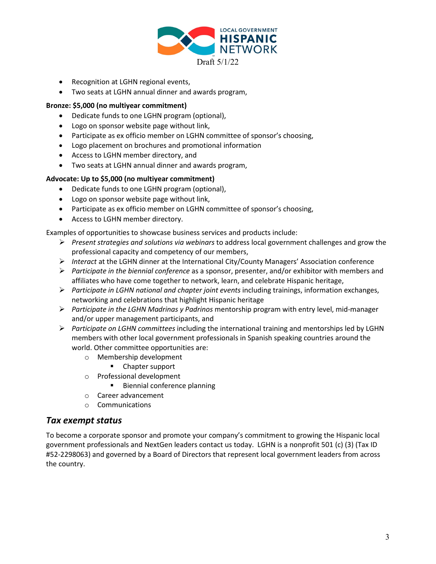

- Recognition at LGHN regional events,
- Two seats at LGHN annual dinner and awards program,

#### **Bronze: \$5,000 (no multiyear commitment)**

- Dedicate funds to one LGHN program (optional),
- Logo on sponsor website page without link,
- Participate as ex officio member on LGHN committee of sponsor's choosing,
- Logo placement on brochures and promotional information
- Access to LGHN member directory, and
- Two seats at LGHN annual dinner and awards program,

#### **Advocate: Up to \$5,000 (no multiyear commitment)**

- Dedicate funds to one LGHN program (optional),
- Logo on sponsor website page without link,
- Participate as ex officio member on LGHN committee of sponsor's choosing,
- Access to LGHN member directory.

Examples of opportunities to showcase business services and products include:

- *Present strategies and solutions via webinars* to address local government challenges and grow the professional capacity and competency of our members,
- *Interact* at the LGHN dinner at the International City/County Managers' Association conference
- *Participate in the biennial conference* as a sponsor, presenter, and/or exhibitor with members and affiliates who have come together to network, learn, and celebrate Hispanic heritage,
- *Participate in LGHN national and chapter joint events* including trainings, information exchanges, networking and celebrations that highlight Hispanic heritage
- *Participate in the LGHN Madrinas y Padrinos* mentorship program with entry level, mid-manager and/or upper management participants, and
- *Participate on LGHN committees* including the international training and mentorships led by LGHN members with other local government professionals in Spanish speaking countries around the world. Other committee opportunities are:
	- o Membership development
		- Chapter support
	- o Professional development
		- **Biennial conference planning**
	- o Career advancement
	- o Communications

## *Tax exempt status*

To become a corporate sponsor and promote your company's commitment to growing the Hispanic local government professionals and NextGen leaders contact us today. LGHN is a nonprofit 501 (c) (3) (Tax ID #52-2298063) and governed by a Board of Directors that represent local government leaders from across the country.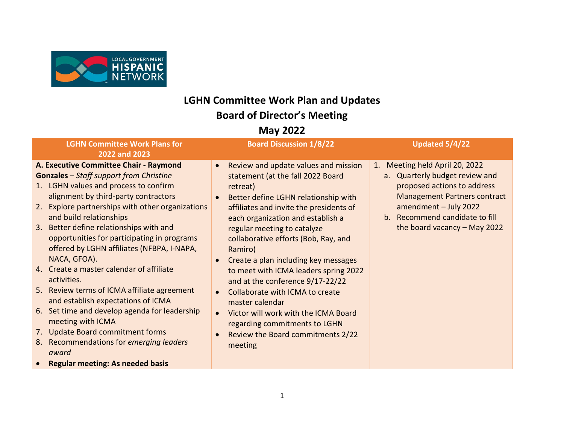

# **LGHN Committee Work Plan and Updates Board of Director's Meeting**

# **May 2022**

| <b>LGHN Committee Work Plans for</b><br>2022 and 2023                                                                                                                                                                                                                                                                                                                                                                                                                                                                                                                                                                                                                                                                                                                                  | <b>Board Discussion 1/8/22</b>                                                                                                                                                                                                                                                                                                                                                                                                                                                                                                                                                                                   | Updated 5/4/22                                                                                                                                                                                                                      |
|----------------------------------------------------------------------------------------------------------------------------------------------------------------------------------------------------------------------------------------------------------------------------------------------------------------------------------------------------------------------------------------------------------------------------------------------------------------------------------------------------------------------------------------------------------------------------------------------------------------------------------------------------------------------------------------------------------------------------------------------------------------------------------------|------------------------------------------------------------------------------------------------------------------------------------------------------------------------------------------------------------------------------------------------------------------------------------------------------------------------------------------------------------------------------------------------------------------------------------------------------------------------------------------------------------------------------------------------------------------------------------------------------------------|-------------------------------------------------------------------------------------------------------------------------------------------------------------------------------------------------------------------------------------|
| A. Executive Committee Chair - Raymond<br><b>Gonzales</b> - Staff support from Christine<br>1. LGHN values and process to confirm<br>alignment by third-party contractors<br>2. Explore partnerships with other organizations<br>and build relationships<br>3. Better define relationships with and<br>opportunities for participating in programs<br>offered by LGHN affiliates (NFBPA, I-NAPA,<br>NACA, GFOA).<br>4. Create a master calendar of affiliate<br>activities.<br>5. Review terms of ICMA affiliate agreement<br>and establish expectations of ICMA<br>6. Set time and develop agenda for leadership<br>meeting with ICMA<br>7. Update Board commitment forms<br>8. Recommendations for emerging leaders<br>award<br><b>Regular meeting: As needed basis</b><br>$\bullet$ | Review and update values and mission<br>$\bullet$<br>statement (at the fall 2022 Board<br>retreat)<br>Better define LGHN relationship with<br>affiliates and invite the presidents of<br>each organization and establish a<br>regular meeting to catalyze<br>collaborative efforts (Bob, Ray, and<br>Ramiro)<br>Create a plan including key messages<br>to meet with ICMA leaders spring 2022<br>and at the conference 9/17-22/22<br>Collaborate with ICMA to create<br>master calendar<br>Victor will work with the ICMA Board<br>regarding commitments to LGHN<br>Review the Board commitments 2/22<br>meeting | 1. Meeting held April 20, 2022<br>a. Quarterly budget review and<br>proposed actions to address<br><b>Management Partners contract</b><br>amendment - July 2022<br>b. Recommend candidate to fill<br>the board vacancy $-$ May 2022 |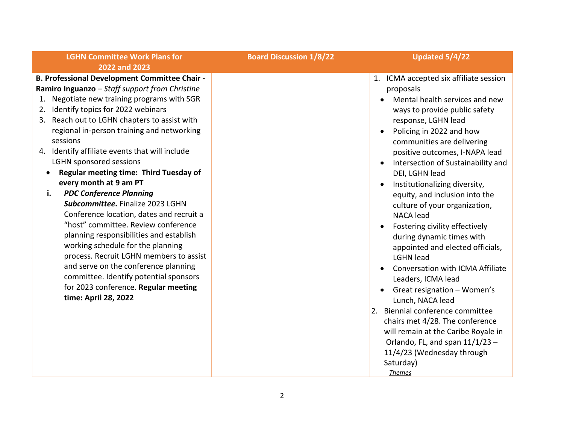## **LGHN Committee Work Plans for 2022 and 2023**

**B. Professional Development Committee Chair - Ramiro Inguanzo** – *Staff support from Christine*

- 1. Negotiate new training programs with SGR
- 2. Identify topics for 2022 webinars
- 3. Reach out to LGHN chapters to assist with regional in-person training and networking sessions
- 4. Identify affiliate events that will include LGHN sponsored sessions
	- **Regular meeting time: Third Tuesday of every month at 9 am PT**
	- **i.** *PDC Conference Planning Subcommittee.* Finalize 2023 LGHN Conference location, dates and recruit a "host" committee. Review conference planning responsibilities and establish working schedule for the planning process. Recruit LGHN members to assist and serve on the conference planning committee. Identify potential sponsors for 2023 conference. **Regular meeting time: April 28, 2022**

**Board Discussion 1/8/22 Updated 5/4/22**

- 1. ICMA accepted six affiliate session proposals
	- Mental health services and new ways to provide public safety response, LGHN lead
	- Policing in 2022 and how communities are delivering positive outcomes, I-NAPA lead
	- Intersection of Sustainability and DEI, LGHN lead
	- Institutionalizing diversity, equity, and inclusion into the culture of your organization, NACA lead
	- Fostering civility effectively during dynamic times with appointed and elected officials, LGHN lead
	- Conversation with ICMA Affiliate Leaders, ICMA lead
	- Great resignation Women's Lunch, NACA lead
- 2. Biennial conference committee chairs met 4/28. The conference will remain at the Caribe Royale in Orlando, FL, and span  $11/1/23$  – 11/4/23 (Wednesday through Saturday) *Themes*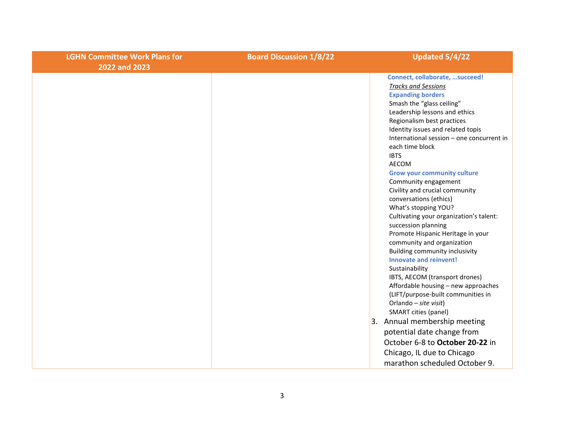| <b>LGHN Committee Work Plans for</b><br>2022 and 2023 | <b>Board Discussion 1/8/22</b> | Updated 5/4/22                                                                                                                                                                                                                                                                                                                                                                                                                                                                                                                                                                                                                                                                                                                                                                                                                                                                                                                     |
|-------------------------------------------------------|--------------------------------|------------------------------------------------------------------------------------------------------------------------------------------------------------------------------------------------------------------------------------------------------------------------------------------------------------------------------------------------------------------------------------------------------------------------------------------------------------------------------------------------------------------------------------------------------------------------------------------------------------------------------------------------------------------------------------------------------------------------------------------------------------------------------------------------------------------------------------------------------------------------------------------------------------------------------------|
|                                                       |                                | Connect, collaborate, succeed!<br><b>Tracks and Sessions</b><br><b>Expanding borders</b><br>Smash the "glass ceiling"<br>Leadership lessons and ethics<br>Regionalism best practices<br>Identity issues and related topis<br>International session - one concurrent in<br>each time block<br><b>IBTS</b><br><b>AECOM</b><br><b>Grow your community culture</b><br>Community engagement<br>Civility and crucial community<br>conversations (ethics)<br>What's stopping YOU?<br>Cultivating your organization's talent:<br>succession planning<br>Promote Hispanic Heritage in your<br>community and organization<br><b>Building community inclusivity</b><br>Innovate and reinvent!<br>Sustainability<br>IBTS, AECOM (transport drones)<br>Affordable housing - new approaches<br>(LIFT/purpose-built communities in<br>Orlando - site visit)<br>SMART cities (panel)<br>3. Annual membership meeting<br>potential date change from |
|                                                       |                                | October 6-8 to October 20-22 in                                                                                                                                                                                                                                                                                                                                                                                                                                                                                                                                                                                                                                                                                                                                                                                                                                                                                                    |
|                                                       |                                | Chicago, IL due to Chicago<br>marathon scheduled October 9.                                                                                                                                                                                                                                                                                                                                                                                                                                                                                                                                                                                                                                                                                                                                                                                                                                                                        |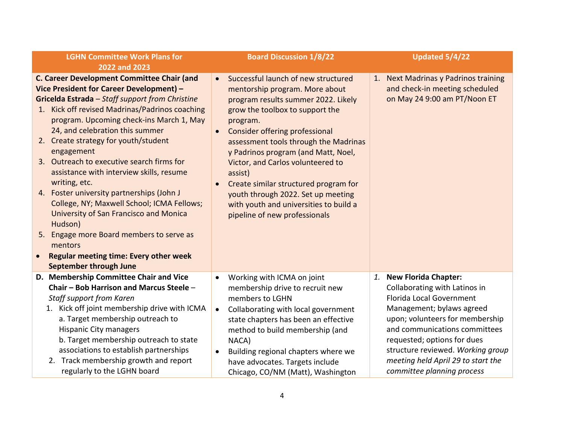| <b>LGHN Committee Work Plans for</b><br>2022 and 2023                                                                                                                                                                                                                                                                                                                                                                                                                                                                                                                                                                                                                                                                                                  | <b>Board Discussion 1/8/22</b>                                                                                                                                                                                                                                                                                                                                                                                                                                                                                                        | Updated 5/4/22                                                                                                                                                                                                                                                                                                                       |
|--------------------------------------------------------------------------------------------------------------------------------------------------------------------------------------------------------------------------------------------------------------------------------------------------------------------------------------------------------------------------------------------------------------------------------------------------------------------------------------------------------------------------------------------------------------------------------------------------------------------------------------------------------------------------------------------------------------------------------------------------------|---------------------------------------------------------------------------------------------------------------------------------------------------------------------------------------------------------------------------------------------------------------------------------------------------------------------------------------------------------------------------------------------------------------------------------------------------------------------------------------------------------------------------------------|--------------------------------------------------------------------------------------------------------------------------------------------------------------------------------------------------------------------------------------------------------------------------------------------------------------------------------------|
| C. Career Development Committee Chair (and<br>Vice President for Career Development) -<br>Gricelda Estrada - Staff support from Christine<br>Kick off revised Madrinas/Padrinos coaching<br>1.<br>program. Upcoming check-ins March 1, May<br>24, and celebration this summer<br>2. Create strategy for youth/student<br>engagement<br>3. Outreach to executive search firms for<br>assistance with interview skills, resume<br>writing, etc.<br>4. Foster university partnerships (John J<br>College, NY; Maxwell School; ICMA Fellows;<br>University of San Francisco and Monica<br>Hudson)<br>Engage more Board members to serve as<br>5.<br>mentors<br><b>Regular meeting time: Every other week</b><br>$\bullet$<br><b>September through June</b> | Successful launch of new structured<br>$\bullet$<br>mentorship program. More about<br>program results summer 2022. Likely<br>grow the toolbox to support the<br>program.<br><b>Consider offering professional</b><br>$\bullet$<br>assessment tools through the Madrinas<br>y Padrinos program (and Matt, Noel,<br>Victor, and Carlos volunteered to<br>assist)<br>Create similar structured program for<br>$\bullet$<br>youth through 2022. Set up meeting<br>with youth and universities to build a<br>pipeline of new professionals | 1. Next Madrinas y Padrinos training<br>and check-in meeting scheduled<br>on May 24 9:00 am PT/Noon ET                                                                                                                                                                                                                               |
| D. Membership Committee Chair and Vice<br>Chair - Bob Harrison and Marcus Steele -<br>Staff support from Karen<br>1. Kick off joint membership drive with ICMA<br>a. Target membership outreach to<br><b>Hispanic City managers</b><br>b. Target membership outreach to state<br>associations to establish partnerships<br>2. Track membership growth and report<br>regularly to the LGHN board                                                                                                                                                                                                                                                                                                                                                        | Working with ICMA on joint<br>$\bullet$<br>membership drive to recruit new<br>members to LGHN<br>Collaborating with local government<br>$\bullet$<br>state chapters has been an effective<br>method to build membership (and<br>NACA)<br>Building regional chapters where we<br>$\bullet$<br>have advocates. Targets include<br>Chicago, CO/NM (Matt), Washington                                                                                                                                                                     | 1. New Florida Chapter:<br>Collaborating with Latinos in<br><b>Florida Local Government</b><br>Management; bylaws agreed<br>upon; volunteers for membership<br>and communications committees<br>requested; options for dues<br>structure reviewed. Working group<br>meeting held April 29 to start the<br>committee planning process |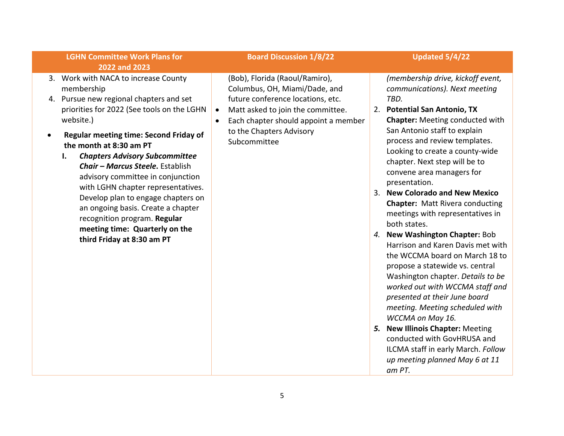#### **LGHN Committee Work Plans for 2022 and 2023**

- 3. Work with NACA to increase County membership
- 4. Pursue new regional chapters and set priorities for 2022 (See tools on the LGHN website.)
- **Regular meeting time: Second Friday of the month at 8:30 am PT**
	- **I.** *Chapters Advisory Subcommittee Chair – Marcus Steele***.** Establish advisory committee in conjunction with LGHN chapter representatives. Develop plan to engage chapters on an ongoing basis. Create a chapter recognition program. **Regular meeting time: Quarterly on the third Friday at 8:30 am PT**

#### **Board Discussion 1/8/22 Updated 5/4/22**

(Bob), Florida (Raoul/Ramiro), Columbus, OH, Miami/Dade, and future conference locations, etc.

- Matt asked to join the committee.
- Each chapter should appoint a member to the Chapters Advisory Subcommittee

*(membership drive, kickoff event, communications). Next meeting TBD.*

- 2. **Potential San Antonio, TX Chapter:** Meeting conducted with San Antonio staff to explain process and review templates. Looking to create a county-wide chapter. Next step will be to convene area managers for presentation.
- 3. **New Colorado and New Mexico Chapter:** Matt Rivera conducting meetings with representatives in both states.
- *4.* **New Washington Chapter:** Bob Harrison and Karen Davis met with the WCCMA board on March 18 to propose a statewide vs. central Washington chapter. *Details to be worked out with WCCMA staff and presented at their June board meeting. Meeting scheduled with WCCMA on May 16.*
- *5.* **New Illinois Chapter:** Meeting conducted with GovHRUSA and ILCMA staff in early March. *Follow up meeting planned May 6 at 11 am PT.*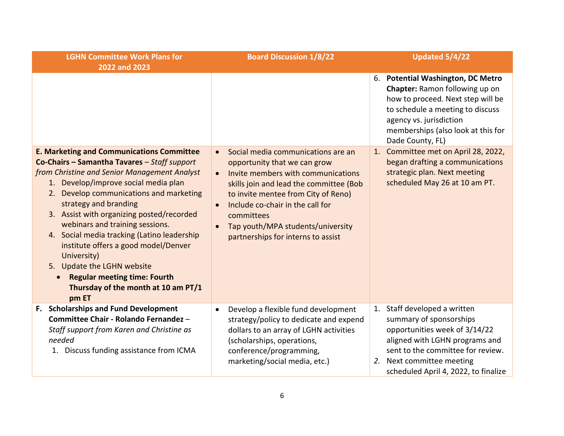| <b>LGHN Committee Work Plans for</b><br>2022 and 2023                                                                                                                                                                                                                                                                                                                                                                                                                                                                                                                      | <b>Board Discussion 1/8/22</b>                                                                                                                                                                                                                                                                                                                                              | Updated 5/4/22                                                                                                                                                                                                                           |
|----------------------------------------------------------------------------------------------------------------------------------------------------------------------------------------------------------------------------------------------------------------------------------------------------------------------------------------------------------------------------------------------------------------------------------------------------------------------------------------------------------------------------------------------------------------------------|-----------------------------------------------------------------------------------------------------------------------------------------------------------------------------------------------------------------------------------------------------------------------------------------------------------------------------------------------------------------------------|------------------------------------------------------------------------------------------------------------------------------------------------------------------------------------------------------------------------------------------|
|                                                                                                                                                                                                                                                                                                                                                                                                                                                                                                                                                                            |                                                                                                                                                                                                                                                                                                                                                                             | 6. Potential Washington, DC Metro<br><b>Chapter:</b> Ramon following up on<br>how to proceed. Next step will be<br>to schedule a meeting to discuss<br>agency vs. jurisdiction<br>memberships (also look at this for<br>Dade County, FL) |
| <b>E. Marketing and Communications Committee</b><br>Co-Chairs - Samantha Tavares - Staff support<br>from Christine and Senior Management Analyst<br>1. Develop/improve social media plan<br>Develop communications and marketing<br>2.<br>strategy and branding<br>3. Assist with organizing posted/recorded<br>webinars and training sessions.<br>4. Social media tracking (Latino leadership<br>institute offers a good model/Denver<br>University)<br>5. Update the LGHN website<br><b>Regular meeting time: Fourth</b><br>Thursday of the month at 10 am PT/1<br>pm ET | Social media communications are an<br>$\bullet$<br>opportunity that we can grow<br>Invite members with communications<br>$\bullet$<br>skills join and lead the committee (Bob<br>to invite mentee from City of Reno)<br>Include co-chair in the call for<br>$\bullet$<br>committees<br>Tap youth/MPA students/university<br>$\bullet$<br>partnerships for interns to assist | 1. Committee met on April 28, 2022,<br>began drafting a communications<br>strategic plan. Next meeting<br>scheduled May 26 at 10 am PT.                                                                                                  |
| <b>Scholarships and Fund Development</b><br>F.<br>Committee Chair - Rolando Fernandez -<br>Staff support from Karen and Christine as<br>needed<br>1. Discuss funding assistance from ICMA                                                                                                                                                                                                                                                                                                                                                                                  | Develop a flexible fund development<br>$\bullet$<br>strategy/policy to dedicate and expend<br>dollars to an array of LGHN activities<br>(scholarships, operations,<br>conference/programming,<br>marketing/social media, etc.)                                                                                                                                              | 1. Staff developed a written<br>summary of sponsorships<br>opportunities week of 3/14/22<br>aligned with LGHN programs and<br>sent to the committee for review.<br>2. Next committee meeting<br>scheduled April 4, 2022, to finalize     |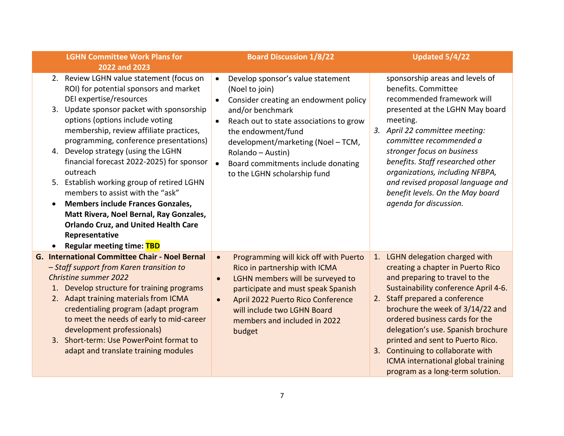| <b>LGHN Committee Work Plans for</b>                                                                                                                                                                                                                                                                                                                                                                                                                                                                                                                                                                                                                                          | <b>Board Discussion 1/8/22</b>                                                                                                                                                                                                                                                                                                                                         | Updated 5/4/22                                                                                                                                                                                                                                                                                                                                                                                               |
|-------------------------------------------------------------------------------------------------------------------------------------------------------------------------------------------------------------------------------------------------------------------------------------------------------------------------------------------------------------------------------------------------------------------------------------------------------------------------------------------------------------------------------------------------------------------------------------------------------------------------------------------------------------------------------|------------------------------------------------------------------------------------------------------------------------------------------------------------------------------------------------------------------------------------------------------------------------------------------------------------------------------------------------------------------------|--------------------------------------------------------------------------------------------------------------------------------------------------------------------------------------------------------------------------------------------------------------------------------------------------------------------------------------------------------------------------------------------------------------|
| 2022 and 2023                                                                                                                                                                                                                                                                                                                                                                                                                                                                                                                                                                                                                                                                 |                                                                                                                                                                                                                                                                                                                                                                        |                                                                                                                                                                                                                                                                                                                                                                                                              |
| 2. Review LGHN value statement (focus on<br>ROI) for potential sponsors and market<br>DEI expertise/resources<br>3. Update sponsor packet with sponsorship<br>options (options include voting<br>membership, review affiliate practices,<br>programming, conference presentations)<br>4. Develop strategy (using the LGHN<br>financial forecast 2022-2025) for sponsor<br>outreach<br>5. Establish working group of retired LGHN<br>members to assist with the "ask"<br><b>Members include Frances Gonzales,</b><br>$\bullet$<br>Matt Rivera, Noel Bernal, Ray Gonzales,<br><b>Orlando Cruz, and United Health Care</b><br>Representative<br><b>Regular meeting time: TBD</b> | Develop sponsor's value statement<br>$\bullet$<br>(Noel to join)<br>Consider creating an endowment policy<br>$\bullet$<br>and/or benchmark<br>Reach out to state associations to grow<br>$\bullet$<br>the endowment/fund<br>development/marketing (Noel - TCM,<br>Rolando - Austin)<br>Board commitments include donating<br>$\bullet$<br>to the LGHN scholarship fund | sponsorship areas and levels of<br>benefits. Committee<br>recommended framework will<br>presented at the LGHN May board<br>meeting.<br>3. April 22 committee meeting:<br>committee recommended a<br>stronger focus on business<br>benefits. Staff researched other<br>organizations, including NFBPA,<br>and revised proposal language and<br>benefit levels. On the May board<br>agenda for discussion.     |
| <b>G. International Committee Chair - Noel Bernal</b>                                                                                                                                                                                                                                                                                                                                                                                                                                                                                                                                                                                                                         | Programming will kick off with Puerto<br>$\bullet$                                                                                                                                                                                                                                                                                                                     | 1. LGHN delegation charged with                                                                                                                                                                                                                                                                                                                                                                              |
| - Staff support from Karen transition to<br><b>Christine summer 2022</b><br>Develop structure for training programs<br>2. Adapt training materials from ICMA<br>credentialing program (adapt program<br>to meet the needs of early to mid-career<br>development professionals)<br>3. Short-term: Use PowerPoint format to<br>adapt and translate training modules                                                                                                                                                                                                                                                                                                             | Rico in partnership with ICMA<br>LGHN members will be surveyed to<br>$\bullet$<br>participate and must speak Spanish<br>April 2022 Puerto Rico Conference<br>$\bullet$<br>will include two LGHN Board<br>members and included in 2022<br>budget                                                                                                                        | creating a chapter in Puerto Rico<br>and preparing to travel to the<br>Sustainability conference April 4-6.<br>2. Staff prepared a conference<br>brochure the week of 3/14/22 and<br>ordered business cards for the<br>delegation's use. Spanish brochure<br>printed and sent to Puerto Rico.<br>3. Continuing to collaborate with<br>ICMA international global training<br>program as a long-term solution. |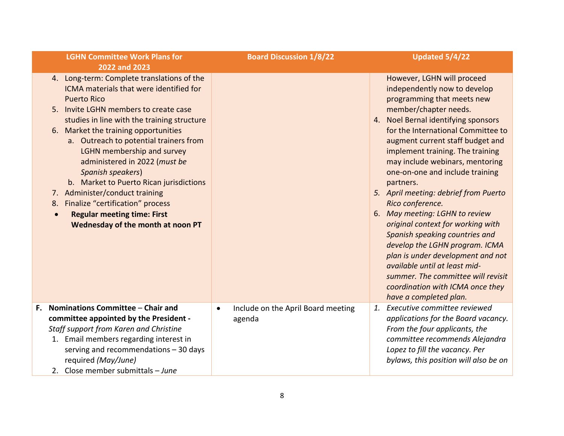|    | <b>LGHN Committee Work Plans for</b><br>2022 and 2023                                                                                                                                                                                                                                                                                                                                                                                                                                                                                                                                           |           | <b>Board Discussion 1/8/22</b>               | Updated 5/4/22                                                                                                                                                                                                                                                                                                                                                                                                                                                                                                                                                                                                                                                                                                                              |
|----|-------------------------------------------------------------------------------------------------------------------------------------------------------------------------------------------------------------------------------------------------------------------------------------------------------------------------------------------------------------------------------------------------------------------------------------------------------------------------------------------------------------------------------------------------------------------------------------------------|-----------|----------------------------------------------|---------------------------------------------------------------------------------------------------------------------------------------------------------------------------------------------------------------------------------------------------------------------------------------------------------------------------------------------------------------------------------------------------------------------------------------------------------------------------------------------------------------------------------------------------------------------------------------------------------------------------------------------------------------------------------------------------------------------------------------------|
|    | 4. Long-term: Complete translations of the<br>ICMA materials that were identified for<br><b>Puerto Rico</b><br>Invite LGHN members to create case<br>5.<br>studies in line with the training structure<br>6. Market the training opportunities<br>a. Outreach to potential trainers from<br>LGHN membership and survey<br>administered in 2022 (must be<br><b>Spanish speakers)</b><br>b. Market to Puerto Rican jurisdictions<br>7. Administer/conduct training<br>8. Finalize "certification" process<br><b>Regular meeting time: First</b><br>$\bullet$<br>Wednesday of the month at noon PT |           |                                              | However, LGHN will proceed<br>independently now to develop<br>programming that meets new<br>member/chapter needs.<br>4. Noel Bernal identifying sponsors<br>for the International Committee to<br>augment current staff budget and<br>implement training. The training<br>may include webinars, mentoring<br>one-on-one and include training<br>partners.<br>5. April meeting: debrief from Puerto<br>Rico conference.<br>6. May meeting: LGHN to review<br>original context for working with<br>Spanish speaking countries and<br>develop the LGHN program. ICMA<br>plan is under development and not<br>available until at least mid-<br>summer. The committee will revisit<br>coordination with ICMA once they<br>have a completed plan. |
| F. | Nominations Committee - Chair and<br>committee appointed by the President -<br>Staff support from Karen and Christine<br>1. Email members regarding interest in<br>serving and recommendations $-30$ days<br>required (May/June)<br>2. Close member submittals - June                                                                                                                                                                                                                                                                                                                           | $\bullet$ | Include on the April Board meeting<br>agenda | 1. Executive committee reviewed<br>applications for the Board vacancy.<br>From the four applicants, the<br>committee recommends Alejandra<br>Lopez to fill the vacancy. Per<br>bylaws, this position will also be on                                                                                                                                                                                                                                                                                                                                                                                                                                                                                                                        |